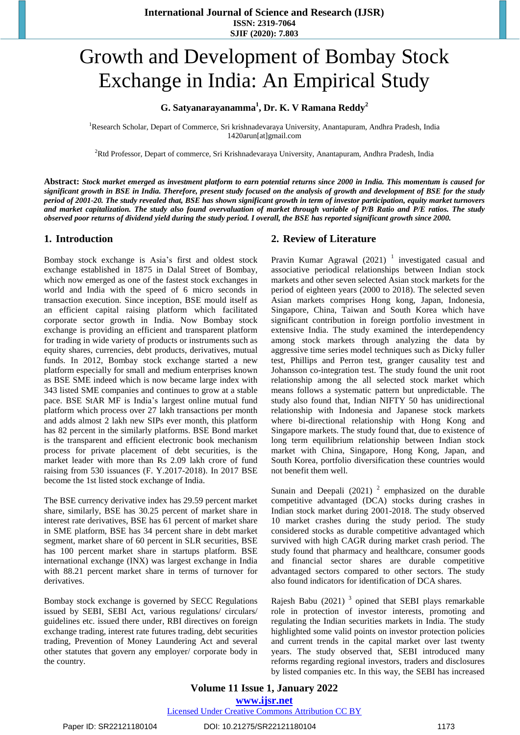# Growth and Development of Bombay Stock Exchange in India: An Empirical Study

# **G. Satyanarayanamma<sup>1</sup> , Dr. K. V Ramana Reddy<sup>2</sup>**

<sup>1</sup>Research Scholar, Depart of Commerce, Sri krishnadevaraya University, Anantapuram, Andhra Pradesh, India 1420arun[at]gmail.com

<sup>2</sup>Rtd Professor, Depart of commerce, Sri Krishnadevaraya University, Anantapuram, Andhra Pradesh, India

Abstract: Stock market emerged as investment platform to earn potential returns since 2000 in India. This momentum is caused for significant growth in BSE in India. Therefore, present study focused on the analysis of growth and development of BSE for the study period of 2001-20. The study revealed that, BSE has shown significant growth in term of investor participation, equity market turnovers and market capitalization. The study also found overvaluation of market through variable of P/B Ratio and P/E ratios. The study observed poor returns of dividend yield during the study period. I overall, the BSE has reported significant growth since 2000.

## **1. Introduction**

Bombay stock exchange is Asia's first and oldest stock exchange established in 1875 in Dalal Street of Bombay, which now emerged as one of the fastest stock exchanges in world and India with the speed of 6 micro seconds in transaction execution. Since inception, BSE mould itself as an efficient capital raising platform which facilitated corporate sector growth in India. Now Bombay stock exchange is providing an efficient and transparent platform for trading in wide variety of products or instruments such as equity shares, currencies, debt products, derivatives, mutual funds. In 2012, Bombay stock exchange started a new platform especially for small and medium enterprises known as BSE SME indeed which is now became large index with 343 listed SME companies and continues to grow at a stable pace. BSE StAR MF is India's largest online mutual fund platform which process over 27 lakh transactions per month and adds almost 2 lakh new SIPs ever month, this platform has 82 percent in the similarly platforms. BSE Bond market is the transparent and efficient electronic book mechanism process for private placement of debt securities, is the market leader with more than Rs 2.09 lakh crore of fund raising from 530 issuances (F. Y.2017-2018). In 2017 BSE become the 1st listed stock exchange of India.

The BSE currency derivative index has 29.59 percent market share, similarly, BSE has 30.25 percent of market share in interest rate derivatives, BSE has 61 percent of market share in SME platform, BSE has 34 percent share in debt market segment, market share of 60 percent in SLR securities, BSE has 100 percent market share in startups platform. BSE international exchange (INX) was largest exchange in India with 88.21 percent market share in terms of turnover for derivatives.

Bombay stock exchange is governed by SECC Regulations issued by SEBI, SEBI Act, various regulations/ circulars/ guidelines etc. issued there under, RBI directives on foreign exchange trading, interest rate futures trading, debt securities trading, Prevention of Money Laundering Act and several other statutes that govern any employer/ corporate body in the country.

## **2. Review of Literature**

Pravin Kumar Agrawal  $(2021)$ <sup>1</sup> investigated casual and associative periodical relationships between Indian stock markets and other seven selected Asian stock markets for the period of eighteen years (2000 to 2018). The selected seven Asian markets comprises Hong kong, Japan, Indonesia, Singapore, China, Taiwan and South Korea which have significant contribution in foreign portfolio investment in extensive India. The study examined the interdependency among stock markets through analyzing the data by aggressive time series model techniques such as Dicky fuller test, Phillips and Perron test, granger causality test and Johansson co-integration test. The study found the unit root relationship among the all selected stock market which means follows a systematic pattern but unpredictable. The study also found that, Indian NIFTY 50 has unidirectional relationship with Indonesia and Japanese stock markets where bi-directional relationship with Hong Kong and Singapore markets. The study found that, due to existence of long term equilibrium relationship between Indian stock market with China, Singapore, Hong Kong, Japan, and South Korea, portfolio diversification these countries would not benefit them well.

Sunain and Deepali  $(2021)$ <sup>2</sup> emphasized on the durable competitive advantaged (DCA) stocks during crashes in Indian stock market during 2001-2018. The study observed 10 market crashes during the study period. The study considered stocks as durable competitive advantaged which survived with high CAGR during market crash period. The study found that pharmacy and healthcare, consumer goods and financial sector shares are durable competitive advantaged sectors compared to other sectors. The study also found indicators for identification of DCA shares.

Rajesh Babu  $(2021)$ <sup>3</sup> opined that SEBI plays remarkable role in protection of investor interests, promoting and regulating the Indian securities markets in India. The study highlighted some valid points on investor protection policies and current trends in the capital market over last twenty years. The study observed that, SEBI introduced many reforms regarding regional investors, traders and disclosures by listed companies etc. In this way, the SEBI has increased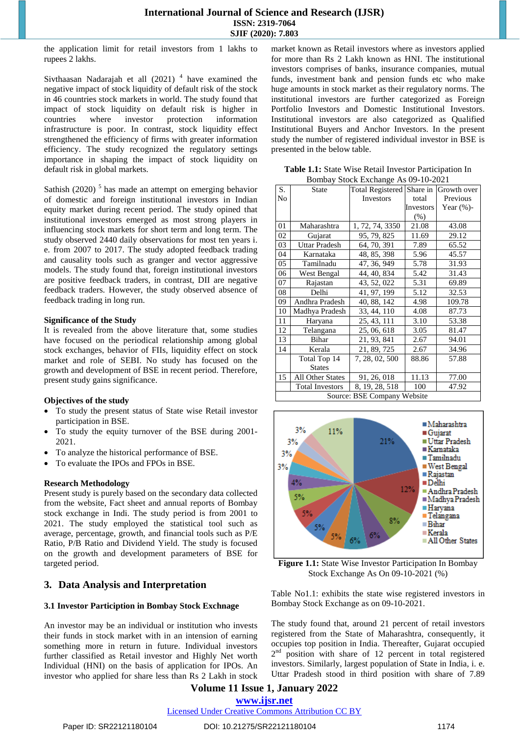## **International Journal of Science and Research (IJSR) ISSN: 2319-7064 SJIF (2020): 7.803**

the application limit for retail investors from 1 lakhs to rupees 2 lakhs.

Sivthaasan Nadarajah et all  $(2021)$ <sup>4</sup> have examined the negative impact of stock liquidity of default risk of the stock in 46 countries stock markets in world. The study found that impact of stock liquidity on default risk is higher in countries where investor protection information infrastructure is poor. In contrast, stock liquidity effect strengthened the efficiency of firms with greater information efficiency. The study recognized the regulatory settings importance in shaping the impact of stock liquidity on default risk in global markets.

Sathish  $(2020)$ <sup>5</sup> has made an attempt on emerging behavior of domestic and foreign institutional investors in Indian equity market during recent period. The study opined that institutional investors emerged as most strong players in influencing stock markets for short term and long term. The study observed 2440 daily observations for most ten years i. e. from 2007 to 2017. The study adopted feedback trading and causality tools such as granger and vector aggressive models. The study found that, foreign institutional investors are positive feedback traders, in contrast, DII are negative feedback traders. However, the study observed absence of feedback trading in long run.

#### **Significance of the Study**

It is revealed from the above literature that, some studies have focused on the periodical relationship among global stock exchanges, behavior of FIIs, liquidity effect on stock market and role of SEBI. No study has focused on the growth and development of BSE in recent period. Therefore, present study gains significance.

#### **Objectives of the study**

- To study the present status of State wise Retail investor participation in BSE.
- To study the equity turnover of the BSE during 2001- 2021.
- To analyze the historical performance of BSE.
- To evaluate the IPOs and FPOs in BSE.

#### **Research Methodology**

Present study is purely based on the secondary data collected from the website, Fact sheet and annual reports of Bombay stock exchange in Indi. The study period is from 2001 to 2021. The study employed the statistical tool such as average, percentage, growth, and financial tools such as P/E Ratio, P/B Ratio and Dividend Yield. The study is focused on the growth and development parameters of BSE for targeted period.

# **3. Data Analysis and Interpretation**

#### **3.1 Investor Particiption in Bombay Stock Exchnage**

An investor may be an individual or institution who invests their funds in stock market with in an intension of earning something more in return in future. Individual investors further classified as Retail investor and Highly Net worth Individual (HNI) on the basis of application for IPOs. An investor who applied for share less than Rs 2 Lakh in stock market known as Retail investors where as investors applied for more than Rs 2 Lakh known as HNI. The institutional investors comprises of banks, insurance companies, mutual funds, investment bank and pension funds etc who make huge amounts in stock market as their regulatory norms. The institutional investors are further categorized as Foreign Portfolio Investors and Domestic Institutional Investors. Institutional investors are also categorized as Qualified Institutional Buyers and Anchor Investors. In the present study the number of registered individual investor in BSE is presented in the below table.

| DOITIVAY STOCK EXCHAIGHT AS 09-10-2021 |                        |                                       |           |                |  |
|----------------------------------------|------------------------|---------------------------------------|-----------|----------------|--|
| S.                                     | <b>State</b>           | Total Registered Share in Growth over |           |                |  |
| No                                     |                        | Investors                             | total     | Previous       |  |
|                                        |                        |                                       | Investors | Year $(\% )$ - |  |
|                                        |                        |                                       | $(\%)$    |                |  |
| 01                                     | Maharashtra            | 1, 72, 74, 3350                       | 21.08     | 43.08          |  |
| 02                                     | Gujarat                | 95, 79, 825                           | 11.69     | 29.12          |  |
| 03                                     | Uttar Pradesh          | 64, 70, 391                           | 7.89      | 65.52          |  |
| 04                                     | Karnataka              | 48, 85, 398                           | 5.96      | 45.57          |  |
| 05                                     | Tamilnadu              | 47, 36, 949                           | 5.78      | 31.93          |  |
| 06                                     | West Bengal            | 44, 40, 834                           | 5.42      | 31.43          |  |
| 07                                     | Rajastan               | 43, 52, 022                           | 5.31      | 69.89          |  |
| 08                                     | Delhi                  | 41, 97, 199                           | 5.12      | 32.53          |  |
| 09                                     | Andhra Pradesh         | 40, 88, 142                           | 4.98      | 109.78         |  |
| 10                                     | Madhya Pradesh         | 33, 44, 110                           | 4.08      | 87.73          |  |
| 11                                     | Haryana                | 25, 43, 111                           | 3.10      | 53.38          |  |
| 12                                     | Telangana              | 25, 06, 618                           | 3.05      | 81.47          |  |
| 13                                     | Bihar                  | 21, 93, 841                           | 2.67      | 94.01          |  |
| 14                                     | Kerala                 | 21, 89, 725                           | 2.67      | 34.96          |  |
|                                        | Total Top 14           | 7, 28, 02, 500                        | 88.86     | 57.88          |  |
|                                        | <b>States</b>          |                                       |           |                |  |
| 15                                     | All Other States       | 91, 26, 018                           | 11.13     | 77.00          |  |
|                                        | <b>Total Investors</b> | 8, 19, 28, 518                        | 100       | 47.92          |  |
| Source: BSE Company Website            |                        |                                       |           |                |  |

**Table 1.1:** State Wise Retail Investor Participation In Bombay Stock Exchange As 09-10-2021



**Figure 1.1:** State Wise Investor Participation In Bombay Stock Exchange As On 09-10-2021 (%)

Table No1.1: exhibits the state wise registered investors in Bombay Stock Exchange as on 09-10-2021.

The study found that, around 21 percent of retail investors registered from the State of Maharashtra, consequently, it occupies top position in India. Thereafter, Gujarat occupied 2<sup>nd</sup> position with share of 12 percent in total registered investors. Similarly, largest population of State in India, i. e. Uttar Pradesh stood in third position with share of 7.89

**Volume 11 Issue 1, January 2022 www.ijsr.net**

Licensed Under Creative Commons Attribution CC BY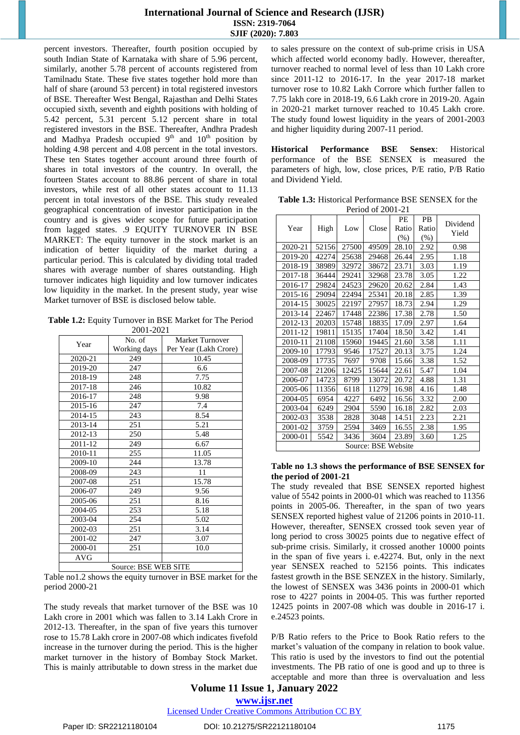## **International Journal of Science and Research (IJSR) ISSN: 2319-7064 SJIF (2020): 7.803**

percent investors. Thereafter, fourth position occupied by south Indian State of Karnataka with share of 5.96 percent, similarly, another 5.78 percent of accounts registered from Tamilnadu State. These five states together hold more than half of share (around 53 percent) in total registered investors of BSE. Thereafter West Bengal, Rajasthan and Delhi States occupied sixth, seventh and eighth positions with holding of 5.42 percent, 5.31 percent 5.12 percent share in total registered investors in the BSE. Thereafter, Andhra Pradesh and Madhya Pradesh occupied  $9<sup>th</sup>$  and  $10<sup>th</sup>$  position by holding 4.98 percent and 4.08 percent in the total investors. These ten States together account around three fourth of shares in total investors of the country. In overall, the fourteen States account to 88.86 percent of share in total investors, while rest of all other states account to 11.13 percent in total investors of the BSE. This study revealed geographical concentration of investor participation in the country and is gives wider scope for future participation from lagged states. .9 EQUITY TURNOVER IN BSE MARKET: The equity turnover in the stock market is an indication of better liquidity of the market during a particular period. This is calculated by dividing total traded shares with average number of shares outstanding. High turnover indicates high liquidity and low turnover indicates low liquidity in the market. In the present study, year wise Market turnover of BSE is disclosed below table.

**Table 1.2:** Equity Turnover in BSE Market for The Period 2001-2021

| 2001-2021  |              |                        |  |  |  |
|------------|--------------|------------------------|--|--|--|
| Year       | No. of       | <b>Market Turnover</b> |  |  |  |
|            | Working days | Per Year (Lakh Crore)  |  |  |  |
| 2020-21    | 249          | 10.45                  |  |  |  |
| 2019-20    | 247          | 6.6                    |  |  |  |
| 2018-19    | 248          | 7.75                   |  |  |  |
| 2017-18    | 246          | 10.82                  |  |  |  |
| 2016-17    | 248          | 9.98                   |  |  |  |
| 2015-16    | 247          | 7.4                    |  |  |  |
| 2014-15    | 243          | 8.54                   |  |  |  |
| 2013-14    | 251          | 5.21                   |  |  |  |
| 2012-13    | 250          | 5.48                   |  |  |  |
| 2011-12    | 249          | 6.67                   |  |  |  |
| 2010-11    | 255          | 11.05                  |  |  |  |
| 2009-10    | 244          | 13.78                  |  |  |  |
| 2008-09    | 243          | 11                     |  |  |  |
| 2007-08    | 251          | 15.78                  |  |  |  |
| 2006-07    | 249          | 9.56                   |  |  |  |
| 2005-06    | 251          | 8.16                   |  |  |  |
| 2004-05    | 253          | 5.18                   |  |  |  |
| 2003-04    | 254          | 5.02                   |  |  |  |
| 2002-03    | 251          | 3.14                   |  |  |  |
| 2001-02    | 247          | 3.07                   |  |  |  |
| 2000-01    | 251          | 10.0                   |  |  |  |
| <b>AVG</b> |              |                        |  |  |  |
|            | $\sim$       | DAD HED AIRD           |  |  |  |

Source: BSE WEB SITE

Table no1.2 shows the equity turnover in BSE market for the period 2000-21

The study reveals that market turnover of the BSE was 10 Lakh crore in 2001 which was fallen to 3.14 Lakh Crore in 2012-13. Thereafter, in the span of five years this turnover rose to 15.78 Lakh crore in 2007-08 which indicates fivefold increase in the turnover during the period. This is the higher market turnover in the history of Bombay Stock Market. This is mainly attributable to down stress in the market due

to sales pressure on the context of sub-prime crisis in USA which affected world economy badly. However, thereafter, turnover reached to normal level of less than 10 Lakh crore since 2011-12 to 2016-17. In the year 2017-18 market turnover rose to 10.82 Lakh Corrore which further fallen to 7.75 lakh core in 2018-19, 6.6 Lakh crore in 2019-20. Again in 2020-21 market turnover reached to 10.45 Lakh crore. The study found lowest liquidity in the years of 2001-2003 and higher liquidity during 2007-11 period.

**Historical Performance BSE Sensex**: Historical performance of the BSE SENSEX is measured the parameters of high, low, close prices, P/E ratio, P/B Ratio and Dividend Yield.

| <b>Table 1.3:</b> Historical Performance BSE SENSEX for the |
|-------------------------------------------------------------|
| Period of 2001-21                                           |

|                     |       |       | $1 \cup 1 \cup 1 \cup 1 \cup 1$ |        |         |          |
|---------------------|-------|-------|---------------------------------|--------|---------|----------|
|                     |       |       |                                 | PE     | PB      | Dividend |
| Year                | High  | Low   | Close                           | Ratio  | Ratio   | Yield    |
|                     |       |       |                                 | $(\%)$ | $(\% )$ |          |
| 2020-21             | 52156 | 27500 | 49509                           | 28.10  | 2.92    | 0.98     |
| 2019-20             | 42274 | 25638 | 29468                           | 26.44  | 2.95    | 1.18     |
| 2018-19             | 38989 | 32972 | 38672                           | 23.71  | 3.03    | 1.19     |
| 2017-18             | 36444 | 29241 | 32968                           | 23.78  | 3.05    | 1.22     |
| 2016-17             | 29824 | 24523 | 29620                           | 20.62  | 2.84    | 1.43     |
| 2015-16             | 29094 | 22494 | 25341                           | 20.18  | 2.85    | 1.39     |
| 2014-15             | 30025 | 22197 | 27957                           | 18.73  | 2.94    | 1.29     |
| 2013-14             | 22467 | 17448 | 22386                           | 17.38  | 2.78    | 1.50     |
| 2012-13             | 20203 | 15748 | 18835                           | 17.09  | 2.97    | 1.64     |
| 2011-12             | 19811 | 15135 | 17404                           | 18.50  | 3.42    | 1.41     |
| 2010-11             | 21108 | 15960 | 19445                           | 21.60  | 3.58    | 1.11     |
| 2009-10             | 17793 | 9546  | 17527                           | 20.13  | 3.75    | 1.24     |
| 2008-09             | 17735 | 7697  | 9708                            | 15.66  | 3.38    | 1.52     |
| 2007-08             | 21206 | 12425 | 15644                           | 22.61  | 5.47    | 1.04     |
| 2006-07             | 14723 | 8799  | 13072                           | 20.72  | 4.88    | 1.31     |
| 2005-06             | 11356 | 6118  | 11279                           | 16.98  | 4.16    | 1.48     |
| 2004-05             | 6954  | 4227  | 6492                            | 16.56  | 3.32    | 2.00     |
| 2003-04             | 6249  | 2904  | 5590                            | 16.18  | 2.82    | 2.03     |
| 2002-03             | 3538  | 2828  | 3048                            | 14.51  | 2.23    | 2.21     |
| 2001-02             | 3759  | 2594  | 3469                            | 16.55  | 2.38    | 1.95     |
| 2000-01             | 5542  | 3436  | 3604                            | 23.89  | 3.60    | 1.25     |
| Source: BSE Website |       |       |                                 |        |         |          |

#### **Table no 1.3 shows the performance of BSE SENSEX for the period of 2001-21**

The study revealed that BSE SENSEX reported highest value of 5542 points in 2000-01 which was reached to 11356 points in 2005-06. Thereafter, in the span of two years SENSEX reported highest value of 21206 points in 2010-11. However, thereafter, SENSEX crossed took seven year of long period to cross 30025 points due to negative effect of sub-prime crisis. Similarly, it crossed another 10000 points in the span of five years i. e.42274. But, only in the next year SENSEX reached to 52156 points. This indicates fastest growth in the BSE SENZEX in the history. Similarly, the lowest of SENSEX was 3436 points in 2000-01 which rose to 4227 points in 2004-05. This was further reported 12425 points in 2007-08 which was double in 2016-17 i. e.24523 points.

P/B Ratio refers to the Price to Book Ratio refers to the market's valuation of the company in relation to book value. This ratio is used by the investors to find out the potential investments. The PB ratio of one is good and up to three is acceptable and more than three is overvaluation and less

# **Volume 11 Issue 1, January 2022 www.ijsr.net**

Licensed Under Creative Commons Attribution CC BY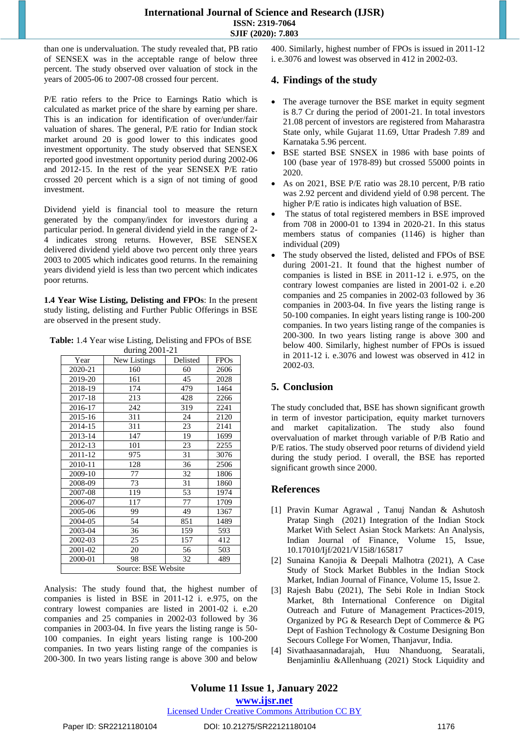## **International Journal of Science and Research (IJSR) ISSN: 2319-7064 SJIF (2020): 7.803**

than one is undervaluation. The study revealed that, PB ratio of SENSEX was in the acceptable range of below three percent. The study observed over valuation of stock in the years of 2005-06 to 2007-08 crossed four percent.

P/E ratio refers to the Price to Earnings Ratio which is calculated as market price of the share by earning per share. This is an indication for identification of over/under/fair valuation of shares. The general, P/E ratio for Indian stock market around 20 is good lower to this indicates good investment opportunity. The study observed that SENSEX reported good investment opportunity period during 2002-06 and 2012-15. In the rest of the year SENSEX P/E ratio crossed 20 percent which is a sign of not timing of good investment.

Dividend yield is financial tool to measure the return generated by the company/index for investors during a particular period. In general dividend yield in the range of 2- 4 indicates strong returns. However, BSE SENSEX delivered dividend yield above two percent only three years 2003 to 2005 which indicates good returns. In the remaining years dividend yield is less than two percent which indicates poor returns.

**1.4 Year Wise Listing, Delisting and FPOs**: In the present study listing, delisting and Further Public Offerings in BSE are observed in the present study.

**Table:** 1.4 Year wise Listing, Delisting and FPOs of BSE during 2001-21

| Year                | $\frac{1}{2}$<br>New Listings | . .<br>Delisted | <b>FPOs</b> |  |  |
|---------------------|-------------------------------|-----------------|-------------|--|--|
| 2020-21             | 160                           | 60              | 2606        |  |  |
| 2019-20             | 161                           | 45              | 2028        |  |  |
| 2018-19             | 174                           | 479             | 1464        |  |  |
| 2017-18             | 213                           | 428             | 2266        |  |  |
| 2016-17             | 242                           | 319             | 2241        |  |  |
| 2015-16             | 311                           | 24              | 2120        |  |  |
| 2014-15             | 311                           | 23              | 2141        |  |  |
| 2013-14             | 147                           | 19              | 1699        |  |  |
| 2012-13             | 101                           | 23              | 2255        |  |  |
| 2011-12             | 975                           | 31              | 3076        |  |  |
| 2010-11             | 128                           | 36              | 2506        |  |  |
| 2009-10             | 77                            | 32              | 1806        |  |  |
| 2008-09             | 73                            | 31              | 1860        |  |  |
| 2007-08             | 119                           | 53              | 1974        |  |  |
| 2006-07             | 117                           | 77              | 1709        |  |  |
| 2005-06             | 99                            | 49              | 1367        |  |  |
| 2004-05             | 54                            | 851             | 1489        |  |  |
| 2003-04             | 36                            | 159             | 593         |  |  |
| 2002-03             | 25                            | 157             | 412         |  |  |
| 2001-02             | 20                            | 56              | 503         |  |  |
| 2000-01             | 98                            | 32              | 489         |  |  |
| Source: BSE Website |                               |                 |             |  |  |

Analysis: The study found that, the highest number of companies is listed in BSE in 2011-12 i. e.975, on the contrary lowest companies are listed in 2001-02 i. e.20 companies and 25 companies in 2002-03 followed by 36 companies in 2003-04. In five years the listing range is 50- 100 companies. In eight years listing range is 100-200 companies. In two years listing range of the companies is 200-300. In two years listing range is above 300 and below

400. Similarly, highest number of FPOs is issued in 2011-12 i. e.3076 and lowest was observed in 412 in 2002-03.

# **4. Findings of the study**

- The average turnover the BSE market in equity segment is 8.7 Cr during the period of 2001-21. In total investors 21.08 percent of investors are registered from Maharastra State only, while Gujarat 11.69, Uttar Pradesh 7.89 and Karnataka 5.96 percent.
- BSE started BSE SNSEX in 1986 with base points of 100 (base year of 1978-89) but crossed 55000 points in 2020.
- As on 2021, BSE P/E ratio was 28.10 percent, P/B ratio was 2.92 percent and dividend yield of 0.98 percent. The higher P/E ratio is indicates high valuation of BSE.
- The status of total registered members in BSE improved from 708 in 2000-01 to 1394 in 2020-21. In this status members status of companies (1146) is higher than individual (209)
- The study observed the listed, delisted and FPOs of BSE during 2001-21. It found that the highest number of companies is listed in BSE in 2011-12 i. e.975, on the contrary lowest companies are listed in 2001-02 i. e.20 companies and 25 companies in 2002-03 followed by 36 companies in 2003-04. In five years the listing range is 50-100 companies. In eight years listing range is 100-200 companies. In two years listing range of the companies is 200-300. In two years listing range is above 300 and below 400. Similarly, highest number of FPOs is issued in 2011-12 i. e.3076 and lowest was observed in 412 in 2002-03.

# **5. Conclusion**

The study concluded that, BSE has shown significant growth in term of investor participation, equity market turnovers and market capitalization. The study also found overvaluation of market through variable of P/B Ratio and P/E ratios. The study observed poor returns of dividend yield during the study period. I overall, the BSE has reported significant growth since 2000.

# **References**

- [1] [Pravin Kumar Agrawal ,](http://www.indianjournaloffinance.co.in/index.php/IJF/search/authors/view?firstName=Pravin%20Kumar&middleName=&lastName=Agrawal&affiliation=Assistant%20Professor,%20United%20Institute%20of%20Management,%20Naini%20Prayagraj%20-%20211%20008,%20Uttar%20Pradesh&country=IN) [Tanuj Nandan & Ashutosh](http://www.indianjournaloffinance.co.in/index.php/IJF/search/authors/view?firstName=Tanuj&middleName=&lastName=Nandan&affiliation=Professor,%20School%20of%20Management%20Studies,%20Motilal%20Nehru%20National%20Institute%20of%20Technology,%20Allahabad%20-%20211%20004,%20Uttar%20Pradesh&country=IN)  Pratap Singh (2021) Integration of the Indian Stock Market With Select Asian Stock Markets: An Analysis, Indian Journal of Finance, Volume 15, Issue, [10.17010/Ijf/2021/V15i8/165817](http://dx.doi.org/10.17010/ijf%2F2021%2Fv15i8%2F165817)
- [2] Sunaina Kanojia & Deepali Malhotra (2021), A Case Study of Stock Market Bubbles in the Indian Stock Market, Indian Journal of Finance, Volume 15, Issue 2.
- [3] Rajesh Babu (2021), The Sebi Role in Indian Stock Market, 8th International Conference on Digital Outreach and Future of Management Practices-2019, Organized by PG & Research Dept of Commerce & PG Dept of Fashion Technology & Costume Designing Bon Secours College For Women, Thanjavur, India.
- [4] [Sivathaasannadarajah,](https://www.sciencedirect.com/science/article/abs/pii/S1386418120300665#!) [Huu Nhanduong,](https://www.sciencedirect.com/science/article/abs/pii/S1386418120300665#!) [Searatali,](https://www.sciencedirect.com/science/article/abs/pii/S1386418120300665#!) [Benjaminliu](https://www.sciencedirect.com/science/article/abs/pii/S1386418120300665#!) [&Allenhuang](https://www.sciencedirect.com/science/article/abs/pii/S1386418120300665#!) (2021) Stock Liquidity and